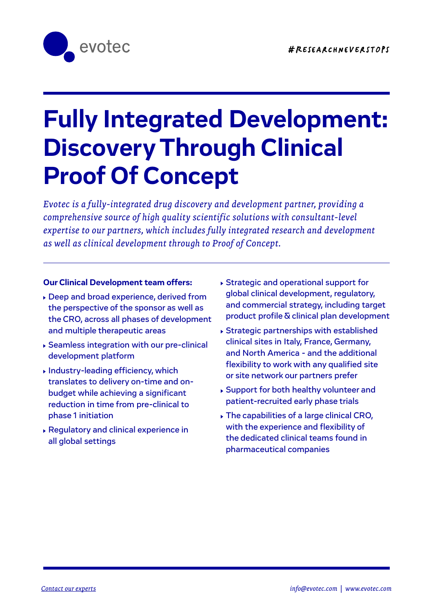

# **Fully Integrated Development: Discovery Through Clinical Proof Of Concept**

*Evotec is a fully-integrated drug discovery and development partner, providing a comprehensive source of high quality scientific solutions with consultant-level expertise to our partners, which includes fully integrated research and development as well as clinical development through to Proof of Concept.*

#### **Our Clinical Development team offers:**

 Deep and broad experience, derived from the perspective of the sponsor as well as the CRO, across all phases of development and multiple therapeutic areas

 $A_{\rm eff}$  and  $A_{\rm eff}$  and  $A_{\rm eff}$  and  $A_{\rm eff}$  and  $A_{\rm eff}$  and  $A_{\rm eff}$ 

- Seamless integration with our pre-clinical development platform
- Industry-leading efficiency, which translates to delivery on-time and onbudget while achieving a significant reduction in time from pre-clinical to phase 1 initiation
- Regulatory and clinical experience in all global settings
- Strategic and operational support for global clinical development, regulatory, and commercial strategy, including target product profile & clinical plan development
- Strategic partnerships with established clinical sites in Italy, France, Germany, and North America - and the additional flexibility to work with any qualified site or site network our partners prefer
- Support for both healthy volunteer and patient-recruited early phase trials
- The capabilities of a large clinical CRO, with the experience and flexibility of the dedicated clinical teams found in pharmaceutical companies